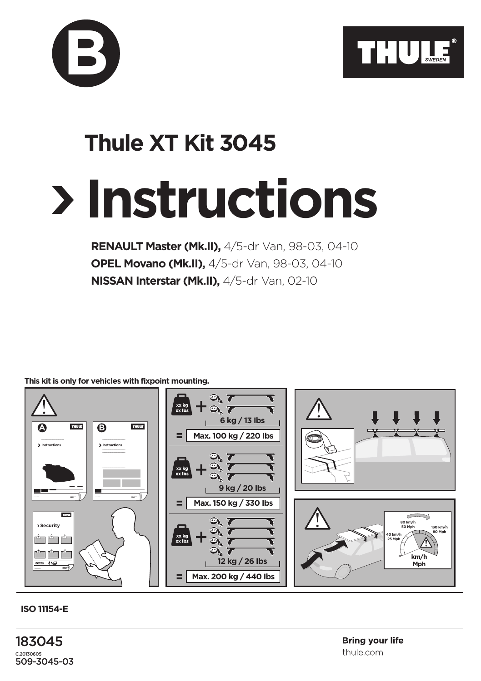



## **Instructions Thule XT Kit 3045**

**RENAULT Master (Mk.II),** 4/5-dr Van, 98-03, 04-10 **OPEL Movano (Mk.II),** 4/5-dr Van, 98-03, 04-10 **NISSAN Interstar (Mk.II),** 4/5-dr Van, 02-10

**This kit is only for vehicles with fixpoint mounting.**



**ISO 11154-E**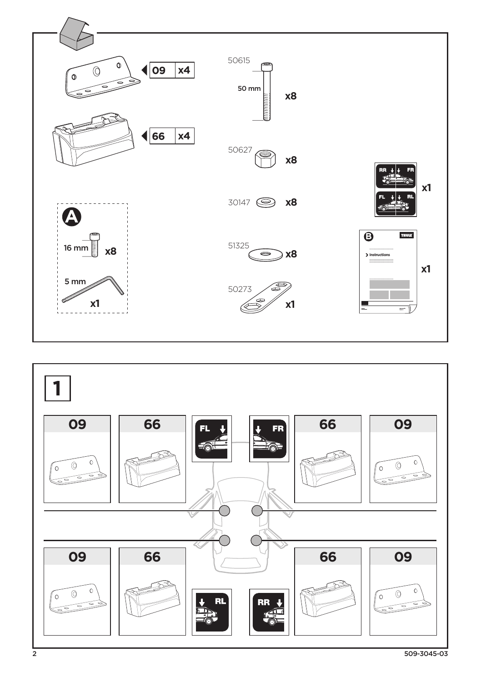

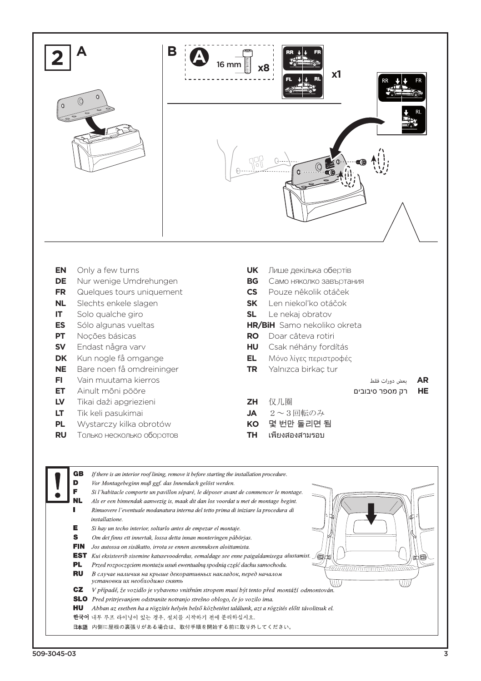

- **EN** Only a few turns<br>**DE** Nur wenige Umd
- **DE** Nur wenige Umdrehungen
- **FR** Quelques tours uniquement
- **NL** Slechts enkele slagen
- **IT** Solo qualche giro
- **ES** Sólo algunas vueltas
- **PT** Noções básicas
- **SV** Endast några varv
- **DK** Kun nogle få omgange
- **NE** Bare noen få omdreininger
- **FI** Vain muutama kierros
- **ET** Ainult mõni pööre
- **LV** Tikai daži apgriezieni
- **LT** Tik keli pasukimai
- **PL** Wystarczy kilka obrotów
- **RU** Только несколько оборотов
- **UK** Лише декілька обертів
- **BG** Само няколко завъртания
- **CS** Pouze několik otáček
- **SK** Len niekol'ko otáčok
- **SL** Le nekaj obratov
- **HR/BiH** Samo nekoliko okreta
- **RO** Doar câteva rotiri
- **HU** Csak néhány fordítás
- **EL** Μόνο λίγες περιστροφές
- **TR** Yalnızca birkaç tur
- **AR** بعض دورات فقط **HE** רק מספר סיבובים
- **ZH** 仅几圈
- **JA** 2~3回転のみ
- **KO** 몇 번만 돌리면 됨
- **TH** เพียงสองสามรอบ